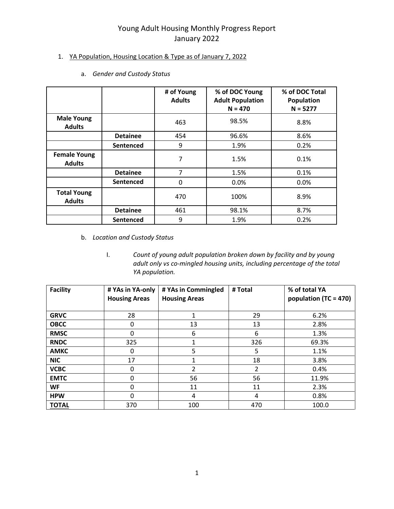#### 1. YA Population, Housing Location & Type as of January 7, 2022

|                                      |                  | # of Young<br><b>Adults</b> | % of DOC Young<br><b>Adult Population</b><br>$N = 470$ | % of DOC Total<br><b>Population</b><br>$N = 5277$ |
|--------------------------------------|------------------|-----------------------------|--------------------------------------------------------|---------------------------------------------------|
| <b>Male Young</b><br><b>Adults</b>   |                  | 463                         | 98.5%                                                  | 8.8%                                              |
|                                      | <b>Detainee</b>  | 454                         | 96.6%                                                  | 8.6%                                              |
|                                      | Sentenced        | 9                           | 1.9%                                                   | 0.2%                                              |
| <b>Female Young</b><br><b>Adults</b> |                  | 7                           | 1.5%                                                   | 0.1%                                              |
|                                      | <b>Detainee</b>  | 7                           | 1.5%                                                   | 0.1%                                              |
|                                      | Sentenced        | 0                           | 0.0%                                                   | 0.0%                                              |
| <b>Total Young</b><br><b>Adults</b>  |                  | 470                         | 100%                                                   | 8.9%                                              |
|                                      | <b>Detainee</b>  | 461                         | 98.1%                                                  | 8.7%                                              |
|                                      | <b>Sentenced</b> | 9                           | 1.9%                                                   | 0.2%                                              |

a. *Gender and Custody Status* 

- b. *Location and Custody Status*
	- I. *Count of young adult population broken down by facility and by young adult only vs co-mingled housing units, including percentage of the total YA population.*

| <b>Facility</b> | # YAs in YA-only<br><b>Housing Areas</b> | # YAs in Commingled<br><b>Housing Areas</b> | # Total | % of total YA<br>population (TC = 470) |
|-----------------|------------------------------------------|---------------------------------------------|---------|----------------------------------------|
| <b>GRVC</b>     | 28                                       |                                             | 29      | 6.2%                                   |
| <b>OBCC</b>     | 0                                        | 13                                          | 13      | 2.8%                                   |
| <b>RMSC</b>     | 0                                        | 6                                           | 6       | 1.3%                                   |
| <b>RNDC</b>     | 325                                      |                                             | 326     | 69.3%                                  |
| <b>AMKC</b>     | 0                                        | 5                                           | 5       | 1.1%                                   |
| <b>NIC</b>      | 17                                       |                                             | 18      | 3.8%                                   |
| <b>VCBC</b>     | 0                                        | $\overline{2}$                              | 2       | 0.4%                                   |
| <b>EMTC</b>     | $\mathbf 0$                              | 56                                          | 56      | 11.9%                                  |
| WF              | 0                                        | 11                                          | 11      | 2.3%                                   |
| <b>HPW</b>      | $\Omega$                                 | 4                                           | 4       | 0.8%                                   |
| <b>TOTAL</b>    | 370                                      | 100                                         | 470     | 100.0                                  |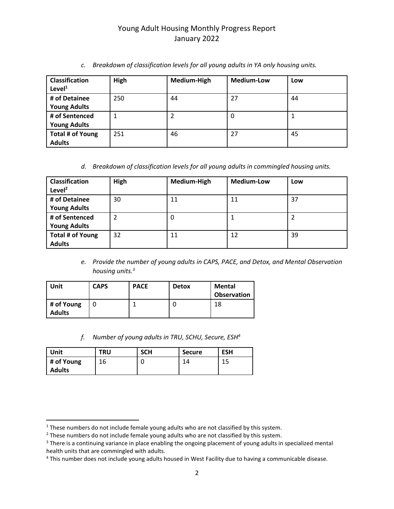| <b>Classification</b><br>Level <sup>1</sup> | High | Medium-High | <b>Medium-Low</b> | Low |
|---------------------------------------------|------|-------------|-------------------|-----|
| # of Detainee                               | 250  | 44          | 27                | 44  |
| <b>Young Adults</b>                         |      |             |                   |     |
| # of Sentenced                              |      |             | 0                 |     |
| <b>Young Adults</b>                         |      |             |                   |     |
| Total # of Young                            | 251  | 46          | 27                | 45  |
| <b>Adults</b>                               |      |             |                   |     |

*c. Breakdown of classification levels for all young adults in YA only housing units.*

*d. Breakdown of classification levels for all young adults in commingled housing units.*

| <b>Classification</b><br>Level $^2$ | High | Medium-High | <b>Medium-Low</b> | Low |
|-------------------------------------|------|-------------|-------------------|-----|
| # of Detainee                       | 30   | 11          | 11                | 37  |
| <b>Young Adults</b>                 |      |             |                   |     |
| # of Sentenced                      | 2    | 0           |                   |     |
| <b>Young Adults</b>                 |      |             |                   |     |
| Total # of Young                    | 32   | 11          | 12                | 39  |
| <b>Adults</b>                       |      |             |                   |     |

*e. Provide the number of young adults in CAPS, PACE, and Detox, and Mental Observation housing units.<sup>3</sup>*

| Unit                        | <b>CAPS</b> | <b>PACE</b> | <b>Detox</b> | Mental<br><b>Observation</b> |
|-----------------------------|-------------|-------------|--------------|------------------------------|
| # of Young<br><b>Adults</b> |             |             | U            | 18                           |

*f. Number of young adults in TRU, SCHU, Secure, ESH<sup>4</sup>*

| <b>Unit</b>                 | <b>TRU</b> | <b>SCH</b> | <b>Secure</b> | <b>ESH</b> |
|-----------------------------|------------|------------|---------------|------------|
| # of Young<br><b>Adults</b> | 16         |            | 14            | 15<br>ᅩ    |

 $\overline{\phantom{a}}$ 

<sup>&</sup>lt;sup>1</sup> These numbers do not include female young adults who are not classified by this system.

 $2$  These numbers do not include female young adults who are not classified by this system.

<sup>&</sup>lt;sup>3</sup> There is a continuing variance in place enabling the ongoing placement of young adults in specialized mental health units that are commingled with adults.

<sup>&</sup>lt;sup>4</sup> This number does not include young adults housed in West Facility due to having a communicable disease.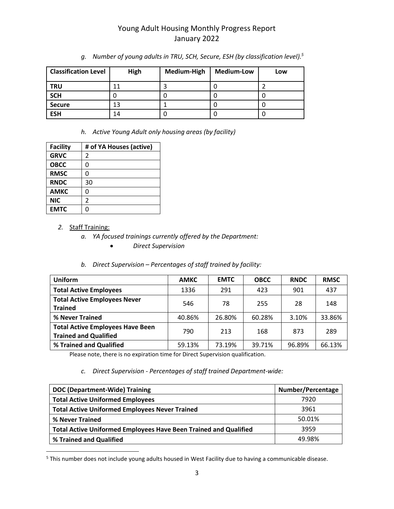| <b>Classification Level</b> | High | Medium-High | <b>Medium-Low</b> | Low |
|-----------------------------|------|-------------|-------------------|-----|
| <b>TRU</b>                  | 11   |             |                   |     |
| <b>SCH</b>                  |      | U           |                   |     |
| <b>Secure</b>               | 13   |             |                   |     |
| <b>ESH</b>                  | 14   | U           |                   |     |

*g. Number of young adults in TRU, SCH, Secure, ESH (by classification level).<sup>5</sup>*

*h. Active Young Adult only housing areas (by facility)*

| <b>Facility</b> | # of YA Houses (active) |
|-----------------|-------------------------|
| <b>GRVC</b>     | 2                       |
| <b>OBCC</b>     | 0                       |
| <b>RMSC</b>     | 0                       |
| <b>RNDC</b>     | 30                      |
| <b>AMKC</b>     | ი                       |
| <b>NIC</b>      | 2                       |
| <b>EMTC</b>     | በ                       |

#### *2.* Staff Training:

 $\overline{\phantom{a}}$ 

- *a. YA focused trainings currently offered by the Department:*
	- *Direct Supervision*

#### *b. Direct Supervision – Percentages of staff trained by facility:*

| <b>Uniform</b>                                                          | <b>AMKC</b> | <b>EMTC</b> | <b>OBCC</b> | <b>RNDC</b> | <b>RMSC</b> |
|-------------------------------------------------------------------------|-------------|-------------|-------------|-------------|-------------|
| <b>Total Active Employees</b>                                           | 1336        | 291         | 423         | 901         | 437         |
| <b>Total Active Employees Never</b><br><b>Trained</b>                   | 546         | 78          | 255         | 28          | 148         |
| % Never Trained                                                         | 40.86%      | 26.80%      | 60.28%      | 3.10%       | 33.86%      |
| <b>Total Active Employees Have Been</b><br><b>Trained and Qualified</b> | 790         | 213         | 168         | 873         | 289         |
| % Trained and Qualified                                                 | 59.13%      | 73.19%      | 39.71%      | 96.89%      | 66.13%      |

Please note, there is no expiration time for Direct Supervision qualification.

#### *c. Direct Supervision - Percentages of staff trained Department-wide:*

| DOC (Department-Wide) Training                                          | Number/Percentage |
|-------------------------------------------------------------------------|-------------------|
| <b>Total Active Uniformed Employees</b>                                 | 7920              |
| <b>Total Active Uniformed Employees Never Trained</b>                   | 3961              |
| % Never Trained                                                         | 50.01%            |
| <b>Total Active Uniformed Employees Have Been Trained and Qualified</b> | 3959              |
| % Trained and Qualified                                                 | 49.98%            |

<sup>5</sup> This number does not include young adults housed in West Facility due to having a communicable disease.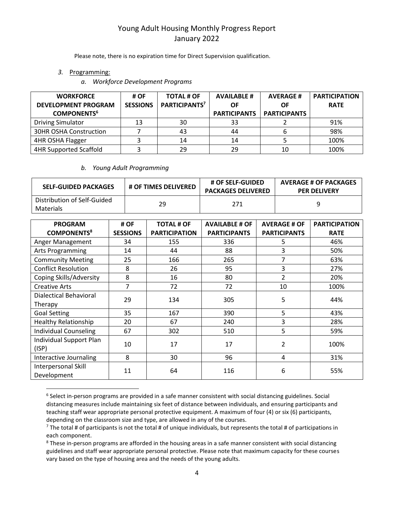Please note, there is no expiration time for Direct Supervision qualification.

*3.* Programming:

 $\overline{\phantom{a}}$ 

*a. Workforce Development Programs*

| <b>WORKFORCE</b><br><b>DEVELOPMENT PROGRAM</b><br><b>COMPONENTS<sup>6</sup></b> | # OF<br><b>SESSIONS</b> | <b>TOTAL # OF</b><br>PARTICIPANTS <sup>7</sup> | <b>AVAILABLE #</b><br>ΟF<br><b>PARTICIPANTS</b> | <b>AVERAGE#</b><br>ΟF<br><b>PARTICIPANTS</b> | <b>PARTICIPATION</b><br><b>RATE</b> |
|---------------------------------------------------------------------------------|-------------------------|------------------------------------------------|-------------------------------------------------|----------------------------------------------|-------------------------------------|
| <b>Driving Simulator</b>                                                        | 13                      | 30                                             | 33                                              |                                              | 91%                                 |
| 30HR OSHA Construction                                                          |                         | 43                                             | 44                                              |                                              | 98%                                 |
| 4HR OSHA Flagger                                                                |                         | 14                                             | 14                                              |                                              | 100%                                |
| <b>4HR Supported Scaffold</b>                                                   |                         | 29                                             | 29                                              | 10                                           | 100%                                |

#### *b. Young Adult Programming*

| <b>SELF-GUIDED PACKAGES</b>              | <b># OF TIMES DELIVERED</b> | <b># OF SELF-GUIDED</b><br><b>PACKAGES DELIVERED</b> | <b>AVERAGE # OF PACKAGES</b><br><b>PER DELIVERY</b> |
|------------------------------------------|-----------------------------|------------------------------------------------------|-----------------------------------------------------|
| Distribution of Self-Guided<br>Materials | 29                          | 271                                                  |                                                     |

| <b>PROGRAM</b>                | # OF            | <b>TOTAL # OF</b>    | <b>AVAILABLE # OF</b> | <b>AVERAGE # OF</b> | <b>PARTICIPATION</b> |
|-------------------------------|-----------------|----------------------|-----------------------|---------------------|----------------------|
| <b>COMPONENTS<sup>8</sup></b> | <b>SESSIONS</b> | <b>PARTICIPATION</b> | <b>PARTICIPANTS</b>   | <b>PARTICIPANTS</b> | <b>RATE</b>          |
| Anger Management              | 34              | 155                  | 336                   | 5                   | 46%                  |
| <b>Arts Programming</b>       | 14              | 44                   | 88                    | 3                   | 50%                  |
| <b>Community Meeting</b>      | 25              | 166                  | 265                   | 7                   | 63%                  |
| <b>Conflict Resolution</b>    | 8               | 26                   | 95                    | 3                   | 27%                  |
| Coping Skills/Adversity       | 8               | 16                   | 80                    | $\overline{2}$      | 20%                  |
| <b>Creative Arts</b>          | 7               | 72                   | 72                    | 10                  | 100%                 |
| Dialectical Behavioral        | 29              |                      |                       | 5                   |                      |
| Therapy                       |                 | 134                  | 305                   |                     | 44%                  |
| <b>Goal Setting</b>           | 35              | 167                  | 390                   | 5                   | 43%                  |
| <b>Healthy Relationship</b>   | 20              | 67                   | 240                   | 3                   | 28%                  |
| <b>Individual Counseling</b>  | 67              | 302                  | 510                   | 5                   | 59%                  |
| Individual Support Plan       | 10              | 17                   | 17                    | 2                   | 100%                 |
| (ISP)                         |                 |                      |                       |                     |                      |
| Interactive Journaling        | 8               | 30                   | 96                    | 4                   | 31%                  |
| Interpersonal Skill           | 11              | 64                   | 116                   | 6                   | 55%                  |
| Development                   |                 |                      |                       |                     |                      |

<sup>&</sup>lt;sup>6</sup> Select in-person programs are provided in a safe manner consistent with social distancing guidelines. Social distancing measures include maintaining six feet of distance between individuals, and ensuring participants and teaching staff wear appropriate personal protective equipment. A maximum of four (4) or six (6) participants, depending on the classroom size and type, are allowed in any of the courses.

 $^7$  The total # of participants is not the total # of unique individuals, but represents the total # of participations in each component.

<sup>&</sup>lt;sup>8</sup> These in-person programs are afforded in the housing areas in a safe manner consistent with social distancing guidelines and staff wear appropriate personal protective. Please note that maximum capacity for these courses vary based on the type of housing area and the needs of the young adults.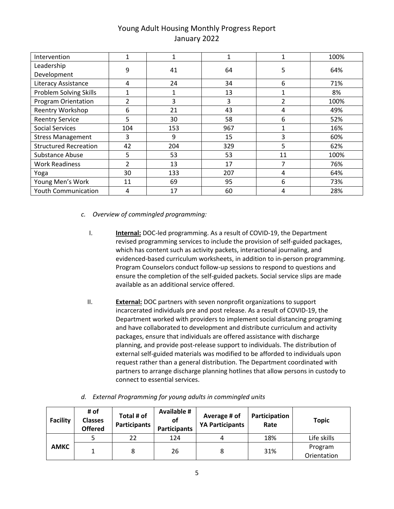| Intervention                  | $\mathbf{1}$   |     |     | 1             | 100% |
|-------------------------------|----------------|-----|-----|---------------|------|
| Leadership                    | 9              | 41  | 64  | 5             | 64%  |
| Development                   |                |     |     |               |      |
| Literacy Assistance           | 4              | 24  | 34  | 6             | 71%  |
| <b>Problem Solving Skills</b> | $\mathbf{1}$   | 1   | 13  | 1             | 8%   |
| <b>Program Orientation</b>    | $\mathcal{P}$  | 3   | 3   | $\mathfrak z$ | 100% |
| Reentry Workshop              | 6              | 21  | 43  | 4             | 49%  |
| <b>Reentry Service</b>        | 5              | 30  | 58  | 6             | 52%  |
| <b>Social Services</b>        | 104            | 153 | 967 | 1             | 16%  |
| <b>Stress Management</b>      | 3              | 9   | 15  | 3             | 60%  |
| <b>Structured Recreation</b>  | 42             | 204 | 329 | 5             | 62%  |
| Substance Abuse               | 5              | 53  | 53  | 11            | 100% |
| <b>Work Readiness</b>         | $\overline{2}$ | 13  | 17  | 7             | 76%  |
| Yoga                          | 30             | 133 | 207 | 4             | 64%  |
| Young Men's Work              | 11             | 69  | 95  | 6             | 73%  |
| <b>Youth Communication</b>    | 4              | 17  | 60  | 4             | 28%  |

- *c. Overview of commingled programming:*
	- I. **Internal:** DOC-led programming. As a result of COVID-19, the Department revised programming services to include the provision of self-guided packages, which has content such as activity packets, interactional journaling, and evidenced-based curriculum worksheets, in addition to in-person programming. Program Counselors conduct follow-up sessions to respond to questions and ensure the completion of the self-guided packets. Social service slips are made available as an additional service offered.
	- II. **External:** DOC partners with seven nonprofit organizations to support incarcerated individuals pre and post release. As a result of COVID-19, the Department worked with providers to implement social distancing programing and have collaborated to development and distribute curriculum and activity packages, ensure that individuals are offered assistance with discharge planning, and provide post-release support to individuals. The distribution of external self-guided materials was modified to be afforded to individuals upon request rather than a general distribution. The Department coordinated with partners to arrange discharge planning hotlines that allow persons in custody to connect to essential services.

| <b>Facility</b> | # of<br><b>Classes</b><br><b>Offered</b> | Total # of<br>Participants | <b>Available #</b><br>οf<br><b>Participants</b> | Average # of<br><b>YA Participants</b> | Participation<br>Rate | <b>Topic</b>           |
|-----------------|------------------------------------------|----------------------------|-------------------------------------------------|----------------------------------------|-----------------------|------------------------|
|                 |                                          | 22                         | 124                                             |                                        | 18%                   | Life skills            |
| <b>AMKC</b>     |                                          |                            | 26                                              |                                        | 31%                   | Program<br>Orientation |

*d. External Programming for young adults in commingled units*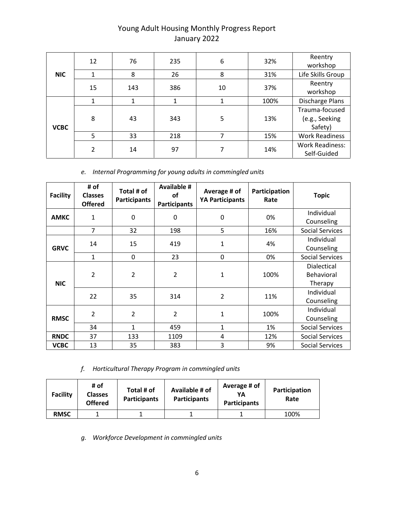| <b>NIC</b>  | 12 | 76  | 235 | 6  | 32%  | Reentry<br>workshop                         |
|-------------|----|-----|-----|----|------|---------------------------------------------|
|             | 1  | 8   | 26  | 8  | 31%  | Life Skills Group                           |
|             | 15 | 143 | 386 | 10 | 37%  | Reentry<br>workshop                         |
| <b>VCBC</b> |    |     |     |    | 100% | Discharge Plans                             |
|             | 8  | 43  | 343 | 5  | 13%  | Trauma-focused<br>(e.g., Seeking<br>Safety) |
|             | 5  | 33  | 218 |    | 15%  | <b>Work Readiness</b>                       |
|             | っ  | 14  | 97  |    | 14%  | <b>Work Readiness:</b><br>Self-Guided       |

*e. Internal Programming for young adults in commingled units*

| <b>Facility</b> | # of<br><b>Classes</b><br><b>Offered</b> | Total # of<br><b>Participants</b> | <b>Available #</b><br>of<br><b>Participants</b> | Average # of<br><b>YA Participants</b> | Participation<br>Rate | <b>Topic</b>                         |
|-----------------|------------------------------------------|-----------------------------------|-------------------------------------------------|----------------------------------------|-----------------------|--------------------------------------|
| <b>AMKC</b>     | 1                                        | 0                                 | 0                                               | 0                                      | 0%                    | Individual<br>Counseling             |
|                 | $\overline{7}$                           | 32                                | 198                                             | 5                                      | 16%                   | <b>Social Services</b>               |
| <b>GRVC</b>     | 14                                       | 15                                | 419                                             | $\mathbf{1}$                           | 4%                    | Individual<br>Counseling             |
|                 | 1                                        | 0                                 | 23                                              | 0                                      | 0%                    | <b>Social Services</b>               |
| <b>NIC</b>      | $\overline{2}$                           | $\overline{2}$                    | $\overline{2}$                                  | $\mathbf{1}$                           | 100%                  | Dialectical<br>Behavioral<br>Therapy |
|                 | 22                                       | 35                                | 314                                             | $\overline{2}$                         | 11%                   | Individual<br>Counseling             |
| <b>RMSC</b>     | $\overline{2}$                           | $\overline{2}$                    | $\overline{2}$                                  | 1                                      | 100%                  | Individual<br>Counseling             |
|                 | 34                                       | 1                                 | 459                                             | 1                                      | 1%                    | Social Services                      |
| <b>RNDC</b>     | 37                                       | 133                               | 1109                                            | 4                                      | 12%                   | <b>Social Services</b>               |
| <b>VCBC</b>     | 13                                       | 35                                | 383                                             | 3                                      | 9%                    | <b>Social Services</b>               |

*f. Horticultural Therapy Program in commingled units*

| <b>Facility</b> | # of<br><b>Classes</b><br><b>Offered</b> | Total # of<br><b>Participants</b> | Available # of<br><b>Participants</b> | Average # of<br>YΑ<br><b>Participants</b> | Participation<br>Rate |
|-----------------|------------------------------------------|-----------------------------------|---------------------------------------|-------------------------------------------|-----------------------|
| <b>RMSC</b>     |                                          |                                   |                                       |                                           | 100%                  |

*g. Workforce Development in commingled units*